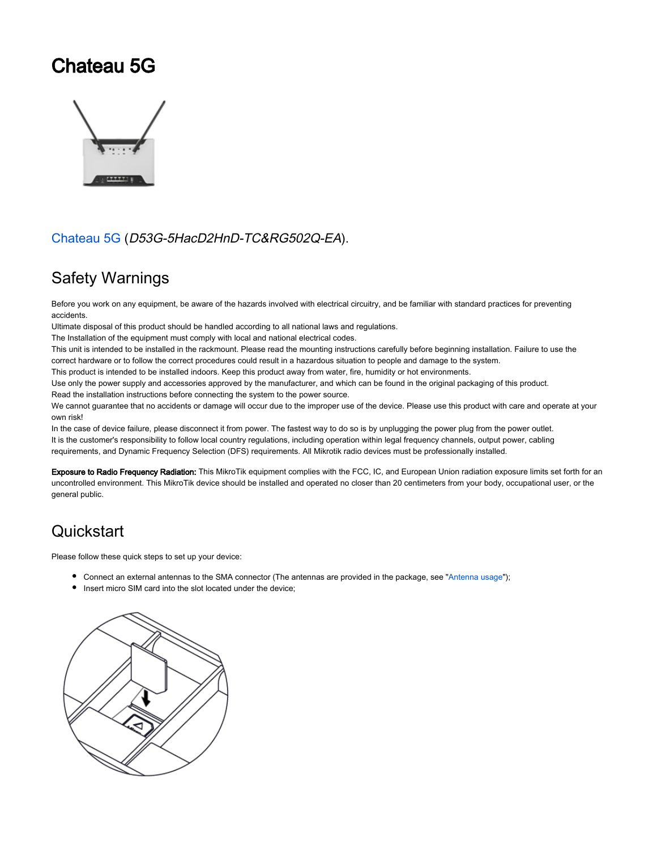# Chateau 5G



#### [Chateau 5G](https://mikrotik.com/product/chateau_5g) (D53G-5HacD2HnD-TC&RG502Q-EA).

## Safety Warnings

Before you work on any equipment, be aware of the hazards involved with electrical circuitry, and be familiar with standard practices for preventing accidents.

Ultimate disposal of this product should be handled according to all national laws and regulations.

The Installation of the equipment must comply with local and national electrical codes.

This unit is intended to be installed in the rackmount. Please read the mounting instructions carefully before beginning installation. Failure to use the correct hardware or to follow the correct procedures could result in a hazardous situation to people and damage to the system.

This product is intended to be installed indoors. Keep this product away from water, fire, humidity or hot environments.

Use only the power supply and accessories approved by the manufacturer, and which can be found in the original packaging of this product. Read the installation instructions before connecting the system to the power source.

We cannot guarantee that no accidents or damage will occur due to the improper use of the device. Please use this product with care and operate at your own risk!

In the case of device failure, please disconnect it from power. The fastest way to do so is by unplugging the power plug from the power outlet. It is the customer's responsibility to follow local country regulations, including operation within legal frequency channels, output power, cabling requirements, and Dynamic Frequency Selection (DFS) requirements. All Mikrotik radio devices must be professionally installed.

Exposure to Radio Frequency Radiation: This MikroTik equipment complies with the FCC, IC, and European Union radiation exposure limits set forth for an uncontrolled environment. This MikroTik device should be installed and operated no closer than 20 centimeters from your body, occupational user, or the general public.

# **Quickstart**

Please follow these quick steps to set up your device:

- Connect an external antennas to the SMA connector (The antennas are provided in the package, see "Antenna usage");
- Insert micro SIM card into the slot located under the device;

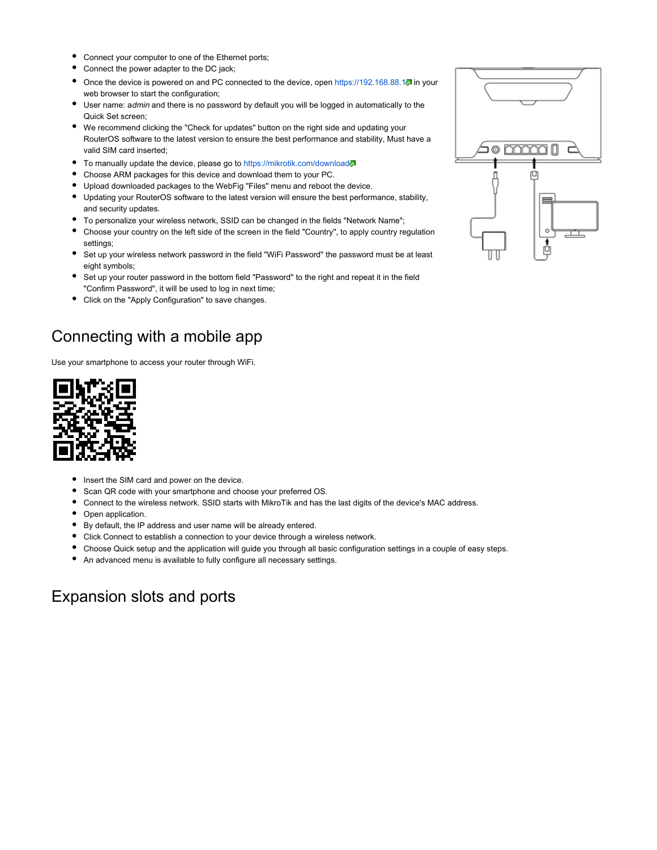- Connect your computer to one of the Ethernet ports;
- Connect the power adapter to the DC jack;
- Once the device is powered on and PC connected to the device, open<https://192.168.88.1>in your web browser to start the configuration;
- User name: admin and there is no password by default you will be logged in automatically to the Quick Set screen;
- We recommend clicking the "Check for updates" button on the right side and updating your RouterOS software to the latest version to ensure the best performance and stability, Must have a valid SIM card inserted;
- To manually update the device, please go to<https://mikrotik.com/download>&
- Choose ARM packages for this device and download them to your PC.
- Upload downloaded packages to the WebFig "Files" menu and reboot the device.
- Updating your RouterOS software to the latest version will ensure the best performance, stability, and security updates.
- To personalize your wireless network, SSID can be changed in the fields "Network Name";
- Choose your country on the left side of the screen in the field "Country", to apply country regulation settings;
- Set up your wireless network password in the field "WiFi Password" the password must be at least eight symbols;
- Set up your router password in the bottom field "Password" to the right and repeat it in the field "Confirm Password", it will be used to log in next time;
- Click on the "Apply Configuration" to save changes.

## Connecting with a mobile app

Use your smartphone to access your router through WiFi.



- Insert the SIM card and power on the device.
- Scan QR code with your smartphone and choose your preferred OS.
- Connect to the wireless network. SSID starts with MikroTik and has the last digits of the device's MAC address.
- Open application.
- By default, the IP address and user name will be already entered.
- Click Connect to establish a connection to your device through a wireless network.
- Choose Quick setup and the application will guide you through all basic configuration settings in a couple of easy steps.
- An advanced menu is available to fully configure all necessary settings.

#### Expansion slots and ports

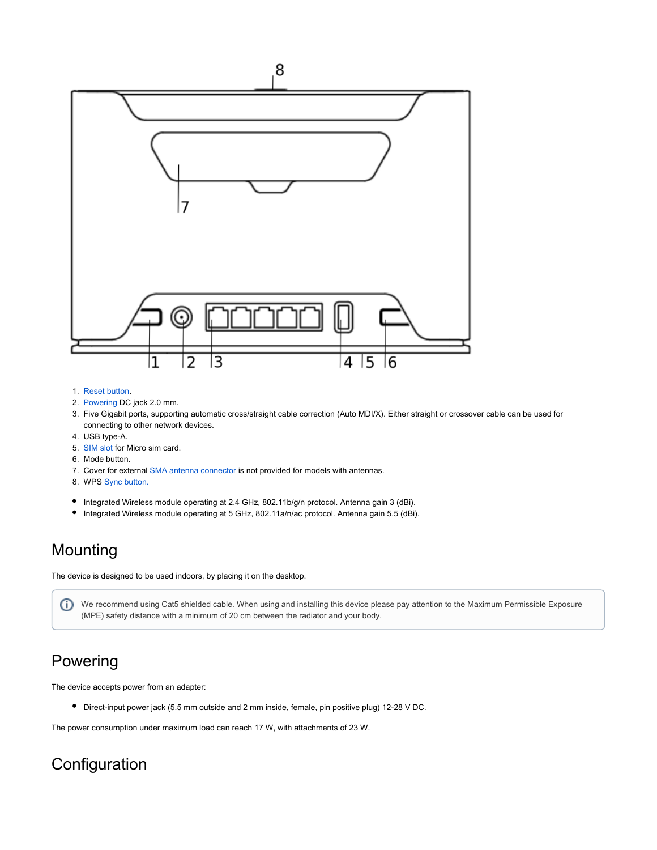

- 1. Reset button.
- 2. Powering DC jack 2.0 mm.
- 3. Five Gigabit ports, supporting automatic cross/straight cable correction (Auto MDI/X). Either straight or crossover cable can be used for connecting to other network devices.
- 4. USB type-A.
- 5. [SIM slot](https://help.mikrotik.com/docs/pages/viewpage.action?pageId=18350121#ChateauLTE12-SIMslotusage) for Micro sim card.
- 6. Mode button.
- 7. Cover for external [SMA antenna connector](https://help.mikrotik.com/docs/pages/viewpage.action?pageId=18350121#ChateauLTE12-Antennausage) is not provided for models with antennas.
- 8. WPS [Sync button.](https://help.mikrotik.com/docs/pages/viewpage.action?pageId=18350121#ChateauLTE12-Syncbutton)
- Integrated Wireless module operating at 2.4 GHz, 802.11b/g/n protocol. Antenna gain 3 (dBi).
- Integrated Wireless module operating at 5 GHz, 802.11a/n/ac protocol. Antenna gain 5.5 (dBi).

#### Mounting

The device is designed to be used indoors, by placing it on the desktop.

We recommend using Cat5 shielded cable. When using and installing this device please pay attention to the Maximum Permissible Exposure (MPE) safety distance with a minimum of 20 cm between the radiator and your body.

## Powering

The device accepts power from an adapter:

Direct-input power jack (5.5 mm outside and 2 mm inside, female, pin positive plug) 12-28 V DC.

The power consumption under maximum load can reach 17 W, with attachments of 23 W.

# **Configuration**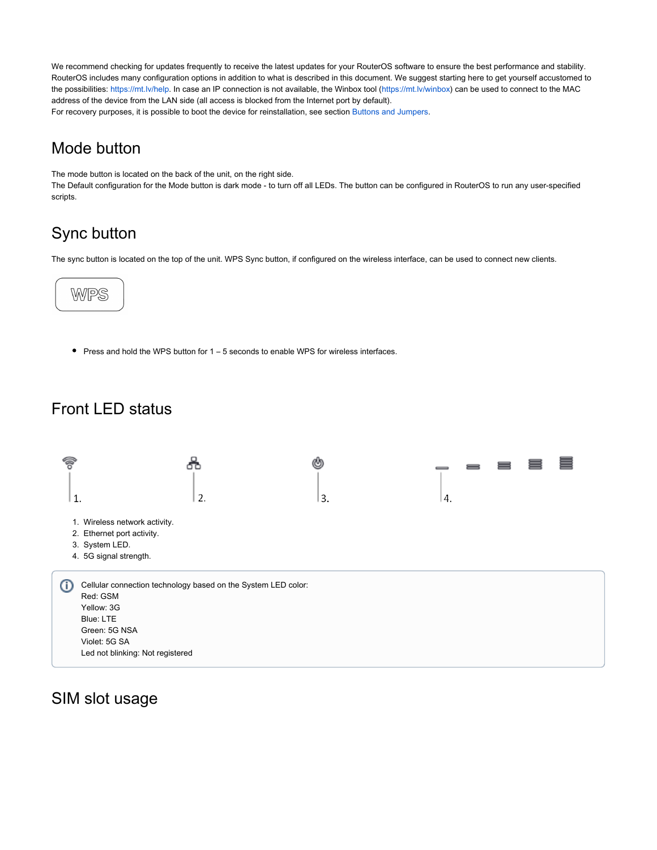We recommend checking for updates frequently to receive the latest updates for your RouterOS software to ensure the best performance and stability. RouterOS includes many configuration options in addition to what is described in this document. We suggest starting here to get yourself accustomed to the possibilities: [https://mt.lv/help.](https://mt.lv/help) In case an IP connection is not available, the Winbox tool ([https://mt.lv/winbox\)](https://mt.lv/winbox) can be used to connect to the MAC address of the device from the LAN side (all access is blocked from the Internet port by default). For recovery purposes, it is possible to boot the device for reinstallation, see section Buttons and Jumpers.

#### Mode button

The mode button is located on the back of the unit, on the right side.

The Default configuration for the Mode button is dark mode - to turn off all LEDs. The button can be configured in RouterOS to run any user-specified scripts.

# Sync button

The sync button is located on the top of the unit. WPS Sync button, if configured on the wireless interface, can be used to connect new clients.



 $\bullet$  Press and hold the WPS button for 1 – 5 seconds to enable WPS for wireless interfaces.

## Front LED status



#### SIM slot usage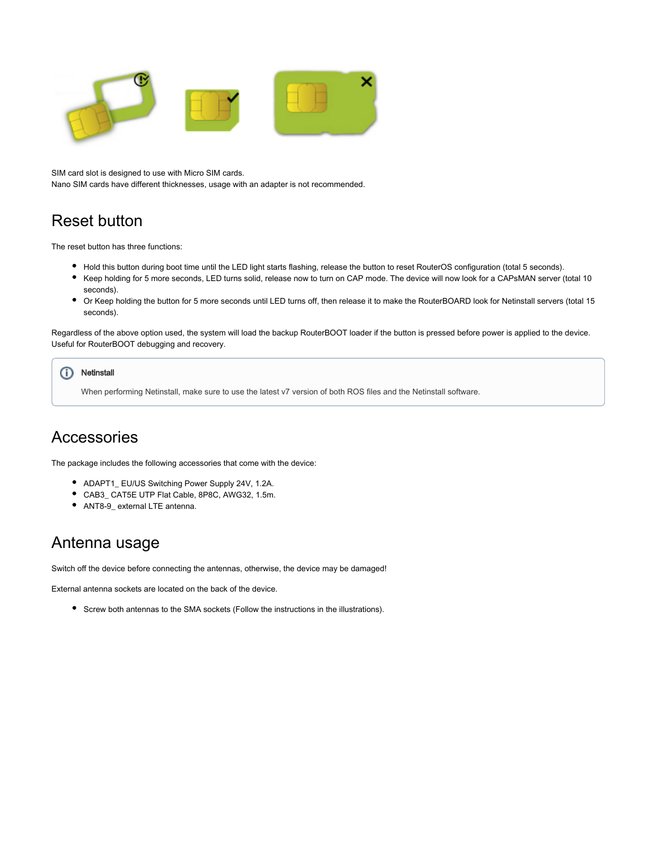

SIM card slot is designed to use with Micro SIM cards. Nano SIM cards have different thicknesses, usage with an adapter is not recommended.

## Reset button

The reset button has three functions:

- Hold this button during boot time until the LED light starts flashing, release the button to reset RouterOS configuration (total 5 seconds).
- Keep holding for 5 more seconds, LED turns solid, release now to turn on CAP mode. The device will now look for a CAPsMAN server (total 10 seconds).
- $\bullet$ Or Keep holding the button for 5 more seconds until LED turns off, then release it to make the RouterBOARD look for Netinstall servers (total 15 seconds).

Regardless of the above option used, the system will load the backup RouterBOOT loader if the button is pressed before power is applied to the device. Useful for RouterBOOT debugging and recovery.

#### **Netinstall** (ï)

When performing Netinstall, make sure to use the latest v7 version of both ROS files and the Netinstall software.

#### Accessories

The package includes the following accessories that come with the device:

- ADAPT1\_ EU/US Switching Power Supply 24V, 1.2A.
- CAB3\_ CAT5E UTP Flat Cable, 8P8C, AWG32, 1.5m.
- ANT8-9\_ external LTE antenna.

#### Antenna usage

Switch off the device before connecting the antennas, otherwise, the device may be damaged!

External antenna sockets are located on the back of the device.

Screw both antennas to the SMA sockets (Follow the instructions in the illustrations).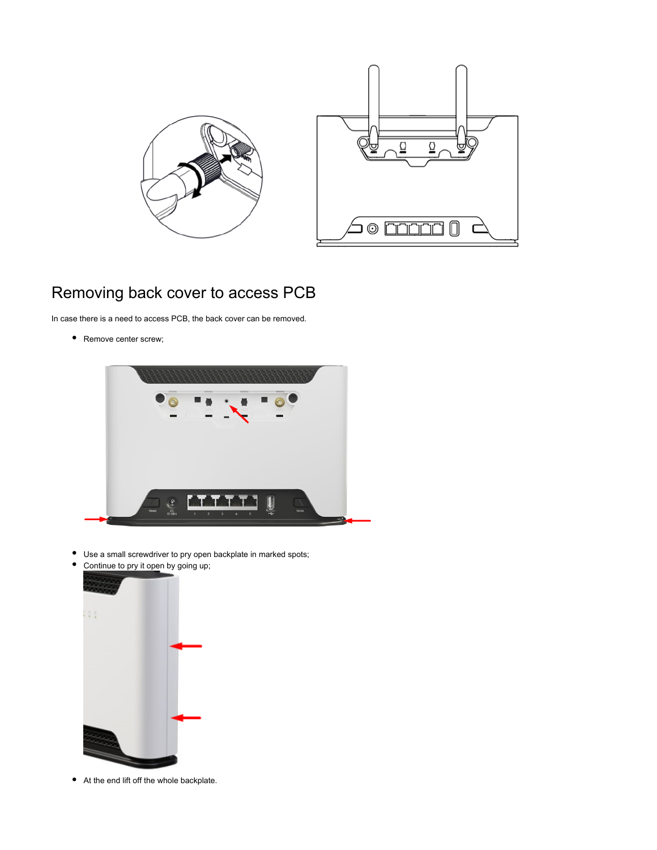

# Removing back cover to access PCB

In case there is a need to access PCB, the back cover can be removed.

• Remove center screw;



- Use a small screwdriver to pry open backplate in marked spots;
- $\bullet$ Continue to pry it open by going up;



At the end lift off the whole backplate.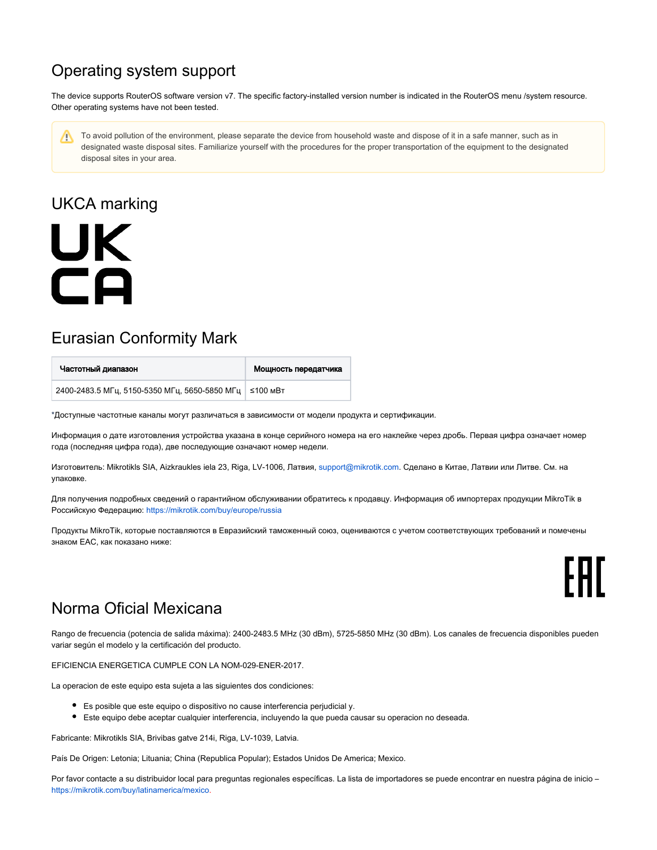# Operating system support

The device supports RouterOS software version v7. The specific factory-installed version number is indicated in the RouterOS menu /system resource. Other operating systems have not been tested.

To avoid pollution of the environment, please separate the device from household waste and dispose of it in a safe manner, such as in Δ designated waste disposal sites. Familiarize yourself with the procedures for the proper transportation of the equipment to the designated disposal sites in your area.

# UKCA marking



## Eurasian Conformity Mark

| Частотный диапазон                                       | Мощность передатчика |
|----------------------------------------------------------|----------------------|
| 2400-2483.5 МГц, 5150-5350 МГц, 5650-5850 МГц   ≤100 мВт |                      |

\*Доступные частотные каналы могут различаться в зависимости от модели продукта и сертификации.

Информация о дате изготовления устройства указана в конце серийного номера на его наклейке через дробь. Первая цифра означает номер года (последняя цифра года), две последующие означают номер недели.

Изготовитель: Mikrotikls SIA, Aizkraukles iela 23, Riga, LV-1006, Латвия, [support@mikrotik.com.](mailto:support@mikrotik.com) Сделано в Китае, Латвии или Литве. Cм. на упаковке.

Для получения подробных сведений о гарантийном обслуживании обратитесь к продавцу. Информация об импортерах продукции MikroTik в Российскую Федерацию: <https://mikrotik.com/buy/europe/russia>

Продукты MikroTik, которые поставляются в Евразийский таможенный союз, оцениваются с учетом соответствующих требований и помечены знаком EAC, как показано ниже:

FAL

## Norma Oficial Mexicana

Rango de frecuencia (potencia de salida máxima): 2400-2483.5 MHz (30 dBm), 5725-5850 MHz (30 dBm). Los canales de frecuencia disponibles pueden variar según el modelo y la certificación del producto.

EFICIENCIA ENERGETICA CUMPLE CON LA NOM-029-ENER-2017.

La operacion de este equipo esta sujeta a las siguientes dos condiciones:

- Es posible que este equipo o dispositivo no cause interferencia perjudicial y.
- Este equipo debe aceptar cualquier interferencia, incluyendo la que pueda causar su operacion no deseada.

Fabricante: Mikrotikls SIA, Brivibas gatve 214i, Riga, LV-1039, Latvia.

País De Origen: Letonia; Lituania; China (Republica Popular); Estados Unidos De America; Mexico.

Por favor contacte a su distribuidor local para preguntas regionales específicas. La lista de importadores se puede encontrar en nuestra página de inicio – <https://mikrotik.com/buy/latinamerica/mexico>.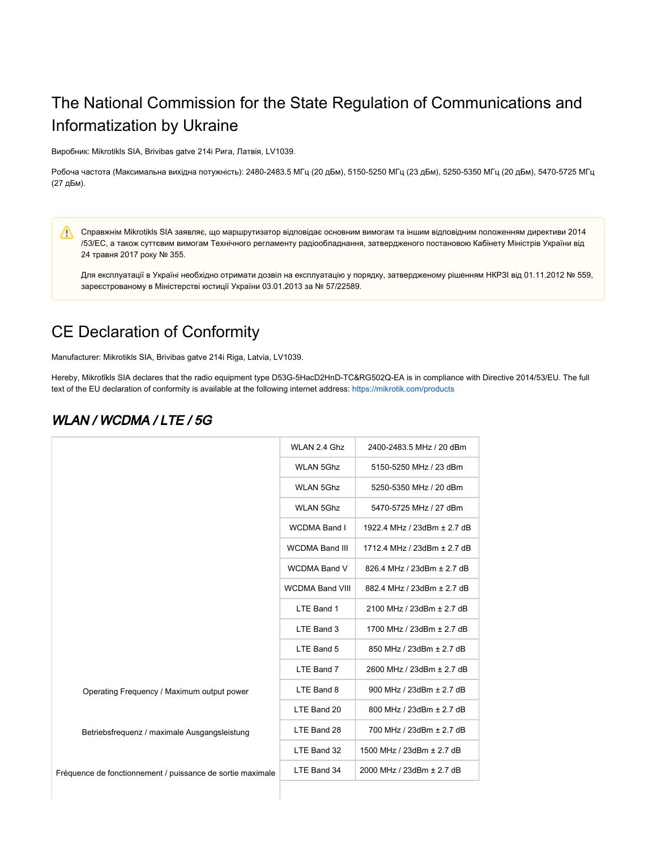# The National Commission for the State Regulation of Communications and Informatization by Ukraine

Виробник: Mikrotikls SIA, Brivibas gatve 214i Рига, Латвія, LV1039.

Робоча частота (Максимальна вихідна потужність): 2480-2483.5 МГц (20 дБм), 5150-5250 МГц (23 дБм), 5250-5350 МГц (20 дБм), 5470-5725 МГц (27 дБм).

Справжнім Mikrotikls SIA заявляє, що маршрутизатор відповідає основним вимогам та іншим відповідним положенням директиви 2014 Λ /53/EC, а також суттєвим вимогам Технічного регламенту радіообладнання, затвердженого постановою Кабінету Міністрів України від 24 травня 2017 року № 355.

Для експлуатації в Україні необхідно отримати дозвіл на експлуатацію у порядку, затвердженому рішенням НКРЗІ від 01.11.2012 № 559, зареєстрованому в Міністерстві юстиції України 03.01.2013 за № 57/22589.

## CE Declaration of Conformity

Manufacturer: Mikrotikls SIA, Brivibas gatve 214i Riga, Latvia, LV1039.

Hereby, Mikrotīkls SIA declares that the radio equipment type D53G-5HacD2HnD-TC&RG502Q-EA is in compliance with Directive 2014/53/EU. The full text of the EU declaration of conformity is available at the following internet address:<https://mikrotik.com/products>

#### WLAN / WCDMA / LTE / 5G

|                                                            | WLAN 2.4 Ghz           | 2400-2483.5 MHz / 20 dBm    |
|------------------------------------------------------------|------------------------|-----------------------------|
|                                                            | <b>WLAN 5Ghz</b>       | 5150-5250 MHz / 23 dBm      |
|                                                            | <b>WLAN 5Ghz</b>       | 5250-5350 MHz / 20 dBm      |
|                                                            | <b>WLAN 5Ghz</b>       | 5470-5725 MHz / 27 dBm      |
|                                                            | <b>WCDMA Band I</b>    | 1922.4 MHz / 23dBm ± 2.7 dB |
|                                                            | <b>WCDMA Band III</b>  | 1712.4 MHz / 23dBm ± 2.7 dB |
|                                                            | <b>WCDMA Band V</b>    | 826.4 MHz / 23dBm ± 2.7 dB  |
|                                                            | <b>WCDMA Band VIII</b> | 882.4 MHz / 23dBm ± 2.7 dB  |
|                                                            | LTE Band 1             | 2100 MHz / 23dBm ± 2.7 dB   |
|                                                            | LTE Band 3             | 1700 MHz / 23dBm ± 2.7 dB   |
|                                                            | LTE Band 5             | 850 MHz / 23dBm ± 2.7 dB    |
|                                                            | LTE Band 7             | 2600 MHz / 23dBm ± 2.7 dB   |
| Operating Frequency / Maximum output power                 | LTE Band 8             | 900 MHz / 23dBm ± 2.7 dB    |
|                                                            | LTE Band 20            | 800 MHz / 23dBm ± 2.7 dB    |
| Betriebsfrequenz / maximale Ausgangsleistung               | LTE Band 28            | 700 MHz / 23dBm ± 2.7 dB    |
|                                                            | LTE Band 32            | 1500 MHz / 23dBm ± 2.7 dB   |
| Fréquence de fonctionnement / puissance de sortie maximale | LTE Band 34            | 2000 MHz / 23dBm ± 2.7 dB   |
|                                                            |                        |                             |